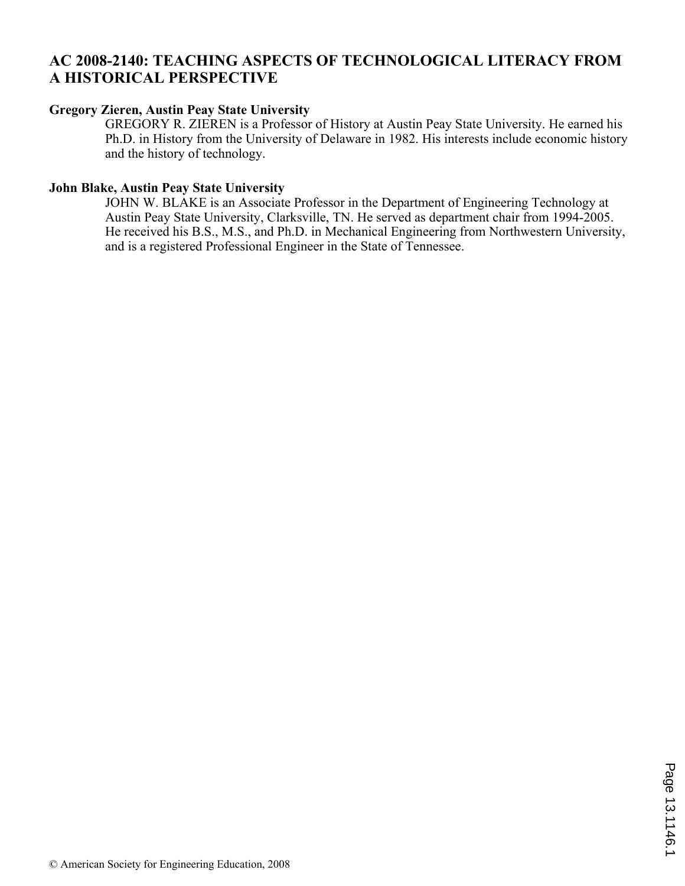## **AC 2008-2140: TEACHING ASPECTS OF TECHNOLOGICAL LITERACY FROM A HISTORICAL PERSPECTIVE**

### **Gregory Zieren, Austin Peay State University**

GREGORY R. ZIEREN is a Professor of History at Austin Peay State University. He earned his Ph.D. in History from the University of Delaware in 1982. His interests include economic history and the history of technology.

### **John Blake, Austin Peay State University**

JOHN W. BLAKE is an Associate Professor in the Department of Engineering Technology at Austin Peay State University, Clarksville, TN. He served as department chair from 1994-2005. He received his B.S., M.S., and Ph.D. in Mechanical Engineering from Northwestern University, and is a registered Professional Engineer in the State of Tennessee.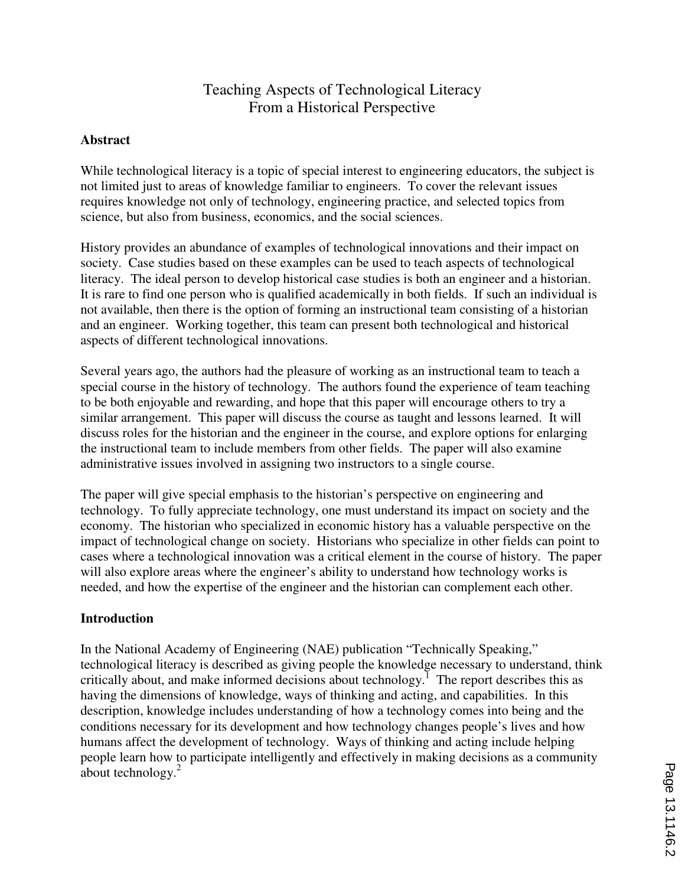# Teaching Aspects of Technological Literacy From a Historical Perspective

### **Abstract**

While technological literacy is a topic of special interest to engineering educators, the subject is not limited just to areas of knowledge familiar to engineers. To cover the relevant issues requires knowledge not only of technology, engineering practice, and selected topics from science, but also from business, economics, and the social sciences.

History provides an abundance of examples of technological innovations and their impact on society. Case studies based on these examples can be used to teach aspects of technological literacy. The ideal person to develop historical case studies is both an engineer and a historian. It is rare to find one person who is qualified academically in both fields. If such an individual is not available, then there is the option of forming an instructional team consisting of a historian and an engineer. Working together, this team can present both technological and historical aspects of different technological innovations.

Several years ago, the authors had the pleasure of working as an instructional team to teach a special course in the history of technology. The authors found the experience of team teaching to be both enjoyable and rewarding, and hope that this paper will encourage others to try a similar arrangement. This paper will discuss the course as taught and lessons learned. It will discuss roles for the historian and the engineer in the course, and explore options for enlarging the instructional team to include members from other fields. The paper will also examine administrative issues involved in assigning two instructors to a single course.

The paper will give special emphasis to the historian's perspective on engineering and technology. To fully appreciate technology, one must understand its impact on society and the economy. The historian who specialized in economic history has a valuable perspective on the impact of technological change on society. Historians who specialize in other fields can point to cases where a technological innovation was a critical element in the course of history. The paper will also explore areas where the engineer's ability to understand how technology works is needed, and how the expertise of the engineer and the historian can complement each other.

#### **Introduction**

In the National Academy of Engineering (NAE) publication "Technically Speaking," technological literacy is described as giving people the knowledge necessary to understand, think critically about, and make informed decisions about technology.<sup>1</sup> The report describes this as having the dimensions of knowledge, ways of thinking and acting, and capabilities. In this description, knowledge includes understanding of how a technology comes into being and the conditions necessary for its development and how technology changes people's lives and how humans affect the development of technology. Ways of thinking and acting include helping people learn how to participate intelligently and effectively in making decisions as a community about technology. $2$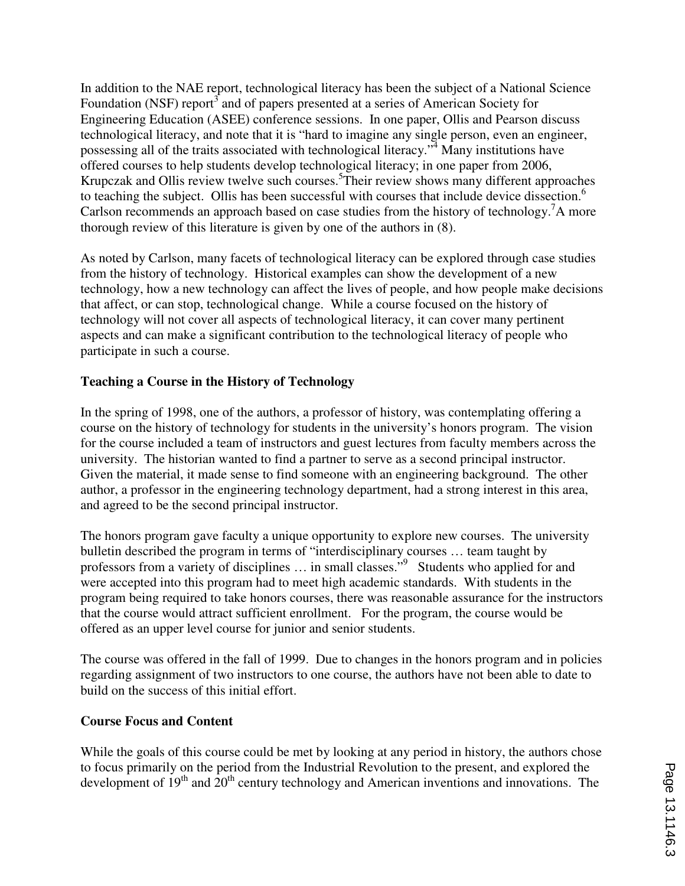In addition to the NAE report, technological literacy has been the subject of a National Science Foundation (NSF) report<sup>3</sup> and of papers presented at a series of American Society for Engineering Education (ASEE) conference sessions. In one paper, Ollis and Pearson discuss technological literacy, and note that it is "hard to imagine any single person, even an engineer, possessing all of the traits associated with technological literacy."<sup>4</sup> Many institutions have offered courses to help students develop technological literacy; in one paper from 2006, Krupczak and Ollis review twelve such courses.<sup>5</sup>Their review shows many different approaches to teaching the subject. Ollis has been successful with courses that include device dissection.<sup>6</sup> Carlson recommends an approach based on case studies from the history of technology.<sup>7</sup>A more thorough review of this literature is given by one of the authors in (8).

As noted by Carlson, many facets of technological literacy can be explored through case studies from the history of technology. Historical examples can show the development of a new technology, how a new technology can affect the lives of people, and how people make decisions that affect, or can stop, technological change. While a course focused on the history of technology will not cover all aspects of technological literacy, it can cover many pertinent aspects and can make a significant contribution to the technological literacy of people who participate in such a course.

## **Teaching a Course in the History of Technology**

In the spring of 1998, one of the authors, a professor of history, was contemplating offering a course on the history of technology for students in the university's honors program. The vision for the course included a team of instructors and guest lectures from faculty members across the university. The historian wanted to find a partner to serve as a second principal instructor. Given the material, it made sense to find someone with an engineering background. The other author, a professor in the engineering technology department, had a strong interest in this area, and agreed to be the second principal instructor.

The honors program gave faculty a unique opportunity to explore new courses. The university bulletin described the program in terms of "interdisciplinary courses … team taught by professors from a variety of disciplines ... in small classes."<sup>9</sup> Students who applied for and were accepted into this program had to meet high academic standards. With students in the program being required to take honors courses, there was reasonable assurance for the instructors that the course would attract sufficient enrollment. For the program, the course would be offered as an upper level course for junior and senior students.

The course was offered in the fall of 1999. Due to changes in the honors program and in policies regarding assignment of two instructors to one course, the authors have not been able to date to build on the success of this initial effort.

### **Course Focus and Content**

While the goals of this course could be met by looking at any period in history, the authors chose to focus primarily on the period from the Industrial Revolution to the present, and explored the development of  $19<sup>th</sup>$  and  $20<sup>th</sup>$  century technology and American inventions and innovations. The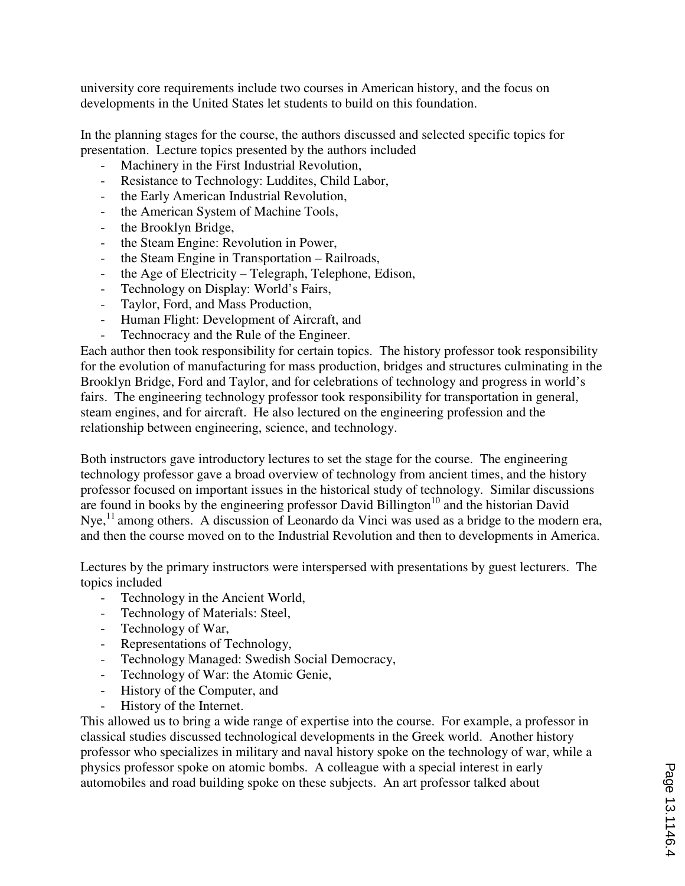university core requirements include two courses in American history, and the focus on developments in the United States let students to build on this foundation.

In the planning stages for the course, the authors discussed and selected specific topics for presentation. Lecture topics presented by the authors included

- Machinery in the First Industrial Revolution,
- Resistance to Technology: Luddites, Child Labor,
- the Early American Industrial Revolution,
- the American System of Machine Tools,
- the Brooklyn Bridge,
- the Steam Engine: Revolution in Power,
- the Steam Engine in Transportation Railroads,
- the Age of Electricity Telegraph, Telephone, Edison,
- Technology on Display: World's Fairs,
- Taylor, Ford, and Mass Production,
- Human Flight: Development of Aircraft, and
- Technocracy and the Rule of the Engineer.

Each author then took responsibility for certain topics. The history professor took responsibility for the evolution of manufacturing for mass production, bridges and structures culminating in the Brooklyn Bridge, Ford and Taylor, and for celebrations of technology and progress in world's fairs. The engineering technology professor took responsibility for transportation in general, steam engines, and for aircraft. He also lectured on the engineering profession and the relationship between engineering, science, and technology.

Both instructors gave introductory lectures to set the stage for the course. The engineering technology professor gave a broad overview of technology from ancient times, and the history professor focused on important issues in the historical study of technology. Similar discussions are found in books by the engineering professor David Billington<sup>10</sup> and the historian David Nye,<sup>11</sup> among others. A discussion of Leonardo da Vinci was used as a bridge to the modern era, and then the course moved on to the Industrial Revolution and then to developments in America.

Lectures by the primary instructors were interspersed with presentations by guest lecturers. The topics included

- Technology in the Ancient World,
- Technology of Materials: Steel,
- Technology of War,
- Representations of Technology,
- Technology Managed: Swedish Social Democracy,
- Technology of War: the Atomic Genie,
- History of the Computer, and
- History of the Internet.

This allowed us to bring a wide range of expertise into the course. For example, a professor in classical studies discussed technological developments in the Greek world. Another history professor who specializes in military and naval history spoke on the technology of war, while a physics professor spoke on atomic bombs. A colleague with a special interest in early automobiles and road building spoke on these subjects. An art professor talked about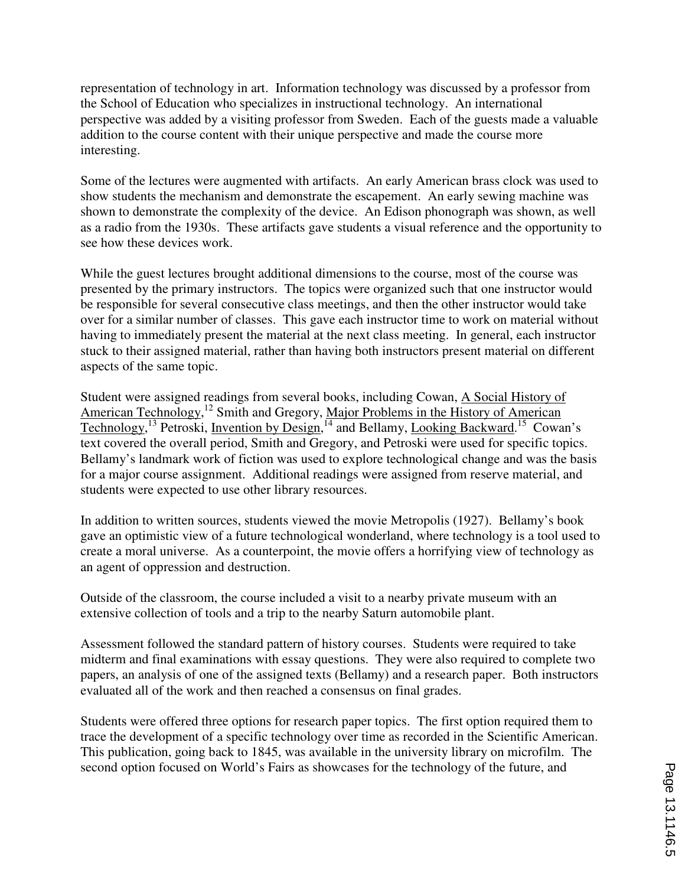representation of technology in art. Information technology was discussed by a professor from the School of Education who specializes in instructional technology. An international perspective was added by a visiting professor from Sweden. Each of the guests made a valuable addition to the course content with their unique perspective and made the course more interesting.

Some of the lectures were augmented with artifacts. An early American brass clock was used to show students the mechanism and demonstrate the escapement. An early sewing machine was shown to demonstrate the complexity of the device. An Edison phonograph was shown, as well as a radio from the 1930s. These artifacts gave students a visual reference and the opportunity to see how these devices work.

While the guest lectures brought additional dimensions to the course, most of the course was presented by the primary instructors. The topics were organized such that one instructor would be responsible for several consecutive class meetings, and then the other instructor would take over for a similar number of classes. This gave each instructor time to work on material without having to immediately present the material at the next class meeting. In general, each instructor stuck to their assigned material, rather than having both instructors present material on different aspects of the same topic.

Student were assigned readings from several books, including Cowan, A Social History of American Technology,<sup>12</sup> Smith and Gregory, Major Problems in the History of American Technology,<sup>13</sup> Petroski, <u>Invention by Design</u>,<sup>14</sup> and Bellamy, Looking Backward.<sup>15</sup> Cowan's text covered the overall period, Smith and Gregory, and Petroski were used for specific topics. Bellamy's landmark work of fiction was used to explore technological change and was the basis for a major course assignment. Additional readings were assigned from reserve material, and students were expected to use other library resources.

In addition to written sources, students viewed the movie Metropolis (1927). Bellamy's book gave an optimistic view of a future technological wonderland, where technology is a tool used to create a moral universe. As a counterpoint, the movie offers a horrifying view of technology as an agent of oppression and destruction.

Outside of the classroom, the course included a visit to a nearby private museum with an extensive collection of tools and a trip to the nearby Saturn automobile plant.

Assessment followed the standard pattern of history courses. Students were required to take midterm and final examinations with essay questions. They were also required to complete two papers, an analysis of one of the assigned texts (Bellamy) and a research paper. Both instructors evaluated all of the work and then reached a consensus on final grades.

Students were offered three options for research paper topics. The first option required them to trace the development of a specific technology over time as recorded in the Scientific American. This publication, going back to 1845, was available in the university library on microfilm. The second option focused on World's Fairs as showcases for the technology of the future, and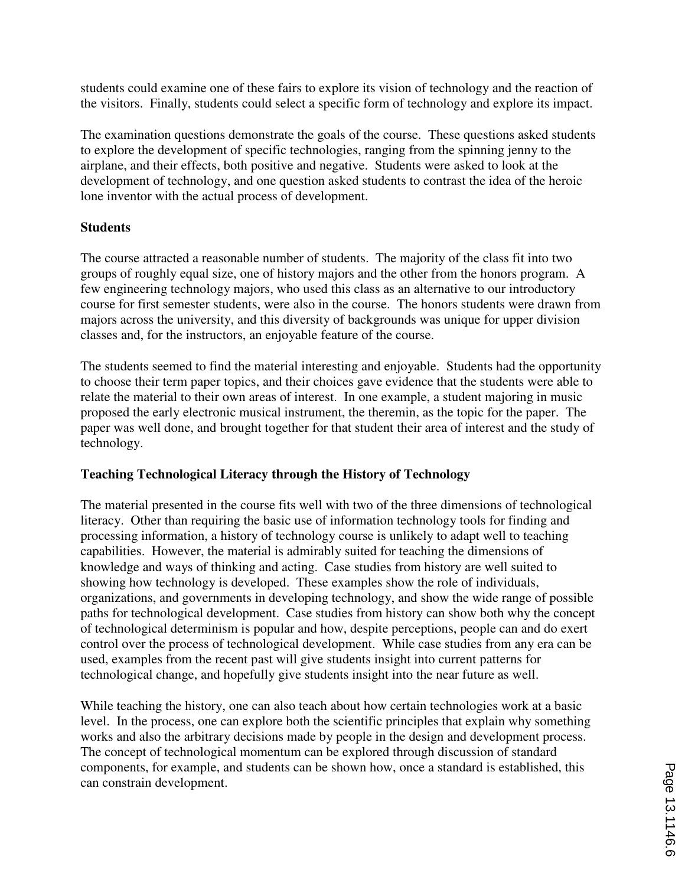students could examine one of these fairs to explore its vision of technology and the reaction of the visitors. Finally, students could select a specific form of technology and explore its impact.

The examination questions demonstrate the goals of the course. These questions asked students to explore the development of specific technologies, ranging from the spinning jenny to the airplane, and their effects, both positive and negative. Students were asked to look at the development of technology, and one question asked students to contrast the idea of the heroic lone inventor with the actual process of development.

### **Students**

The course attracted a reasonable number of students. The majority of the class fit into two groups of roughly equal size, one of history majors and the other from the honors program. A few engineering technology majors, who used this class as an alternative to our introductory course for first semester students, were also in the course. The honors students were drawn from majors across the university, and this diversity of backgrounds was unique for upper division classes and, for the instructors, an enjoyable feature of the course.

The students seemed to find the material interesting and enjoyable. Students had the opportunity to choose their term paper topics, and their choices gave evidence that the students were able to relate the material to their own areas of interest. In one example, a student majoring in music proposed the early electronic musical instrument, the theremin, as the topic for the paper. The paper was well done, and brought together for that student their area of interest and the study of technology.

### **Teaching Technological Literacy through the History of Technology**

The material presented in the course fits well with two of the three dimensions of technological literacy. Other than requiring the basic use of information technology tools for finding and processing information, a history of technology course is unlikely to adapt well to teaching capabilities. However, the material is admirably suited for teaching the dimensions of knowledge and ways of thinking and acting. Case studies from history are well suited to showing how technology is developed. These examples show the role of individuals, organizations, and governments in developing technology, and show the wide range of possible paths for technological development. Case studies from history can show both why the concept of technological determinism is popular and how, despite perceptions, people can and do exert control over the process of technological development. While case studies from any era can be used, examples from the recent past will give students insight into current patterns for technological change, and hopefully give students insight into the near future as well.

While teaching the history, one can also teach about how certain technologies work at a basic level. In the process, one can explore both the scientific principles that explain why something works and also the arbitrary decisions made by people in the design and development process. The concept of technological momentum can be explored through discussion of standard components, for example, and students can be shown how, once a standard is established, this can constrain development.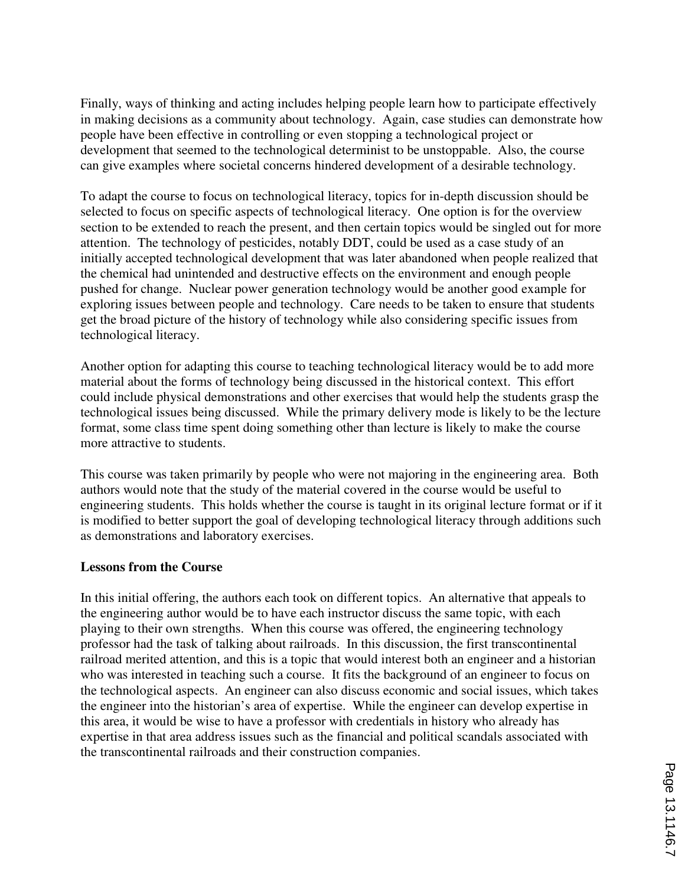Finally, ways of thinking and acting includes helping people learn how to participate effectively in making decisions as a community about technology. Again, case studies can demonstrate how people have been effective in controlling or even stopping a technological project or development that seemed to the technological determinist to be unstoppable. Also, the course can give examples where societal concerns hindered development of a desirable technology.

To adapt the course to focus on technological literacy, topics for in-depth discussion should be selected to focus on specific aspects of technological literacy. One option is for the overview section to be extended to reach the present, and then certain topics would be singled out for more attention. The technology of pesticides, notably DDT, could be used as a case study of an initially accepted technological development that was later abandoned when people realized that the chemical had unintended and destructive effects on the environment and enough people pushed for change. Nuclear power generation technology would be another good example for exploring issues between people and technology. Care needs to be taken to ensure that students get the broad picture of the history of technology while also considering specific issues from technological literacy.

Another option for adapting this course to teaching technological literacy would be to add more material about the forms of technology being discussed in the historical context. This effort could include physical demonstrations and other exercises that would help the students grasp the technological issues being discussed. While the primary delivery mode is likely to be the lecture format, some class time spent doing something other than lecture is likely to make the course more attractive to students.

This course was taken primarily by people who were not majoring in the engineering area. Both authors would note that the study of the material covered in the course would be useful to engineering students. This holds whether the course is taught in its original lecture format or if it is modified to better support the goal of developing technological literacy through additions such as demonstrations and laboratory exercises.

#### **Lessons from the Course**

In this initial offering, the authors each took on different topics. An alternative that appeals to the engineering author would be to have each instructor discuss the same topic, with each playing to their own strengths. When this course was offered, the engineering technology professor had the task of talking about railroads. In this discussion, the first transcontinental railroad merited attention, and this is a topic that would interest both an engineer and a historian who was interested in teaching such a course. It fits the background of an engineer to focus on the technological aspects. An engineer can also discuss economic and social issues, which takes the engineer into the historian's area of expertise. While the engineer can develop expertise in this area, it would be wise to have a professor with credentials in history who already has expertise in that area address issues such as the financial and political scandals associated with the transcontinental railroads and their construction companies.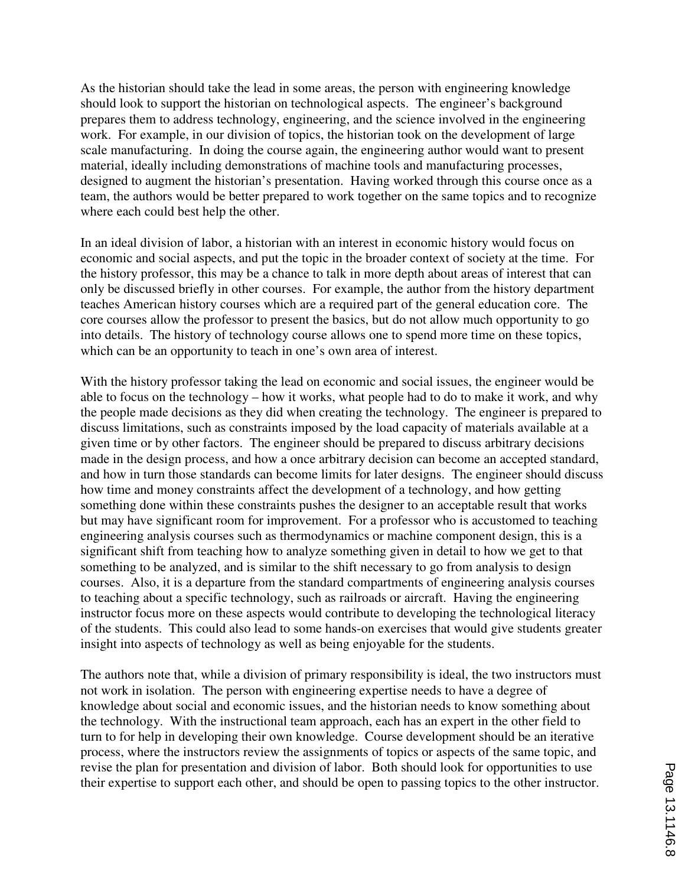As the historian should take the lead in some areas, the person with engineering knowledge should look to support the historian on technological aspects. The engineer's background prepares them to address technology, engineering, and the science involved in the engineering work. For example, in our division of topics, the historian took on the development of large scale manufacturing. In doing the course again, the engineering author would want to present material, ideally including demonstrations of machine tools and manufacturing processes, designed to augment the historian's presentation. Having worked through this course once as a team, the authors would be better prepared to work together on the same topics and to recognize where each could best help the other.

In an ideal division of labor, a historian with an interest in economic history would focus on economic and social aspects, and put the topic in the broader context of society at the time. For the history professor, this may be a chance to talk in more depth about areas of interest that can only be discussed briefly in other courses. For example, the author from the history department teaches American history courses which are a required part of the general education core. The core courses allow the professor to present the basics, but do not allow much opportunity to go into details. The history of technology course allows one to spend more time on these topics, which can be an opportunity to teach in one's own area of interest.

With the history professor taking the lead on economic and social issues, the engineer would be able to focus on the technology – how it works, what people had to do to make it work, and why the people made decisions as they did when creating the technology. The engineer is prepared to discuss limitations, such as constraints imposed by the load capacity of materials available at a given time or by other factors. The engineer should be prepared to discuss arbitrary decisions made in the design process, and how a once arbitrary decision can become an accepted standard, and how in turn those standards can become limits for later designs. The engineer should discuss how time and money constraints affect the development of a technology, and how getting something done within these constraints pushes the designer to an acceptable result that works but may have significant room for improvement. For a professor who is accustomed to teaching engineering analysis courses such as thermodynamics or machine component design, this is a significant shift from teaching how to analyze something given in detail to how we get to that something to be analyzed, and is similar to the shift necessary to go from analysis to design courses. Also, it is a departure from the standard compartments of engineering analysis courses to teaching about a specific technology, such as railroads or aircraft. Having the engineering instructor focus more on these aspects would contribute to developing the technological literacy of the students. This could also lead to some hands-on exercises that would give students greater insight into aspects of technology as well as being enjoyable for the students.

The authors note that, while a division of primary responsibility is ideal, the two instructors must not work in isolation. The person with engineering expertise needs to have a degree of knowledge about social and economic issues, and the historian needs to know something about the technology. With the instructional team approach, each has an expert in the other field to turn to for help in developing their own knowledge. Course development should be an iterative process, where the instructors review the assignments of topics or aspects of the same topic, and revise the plan for presentation and division of labor. Both should look for opportunities to use their expertise to support each other, and should be open to passing topics to the other instructor.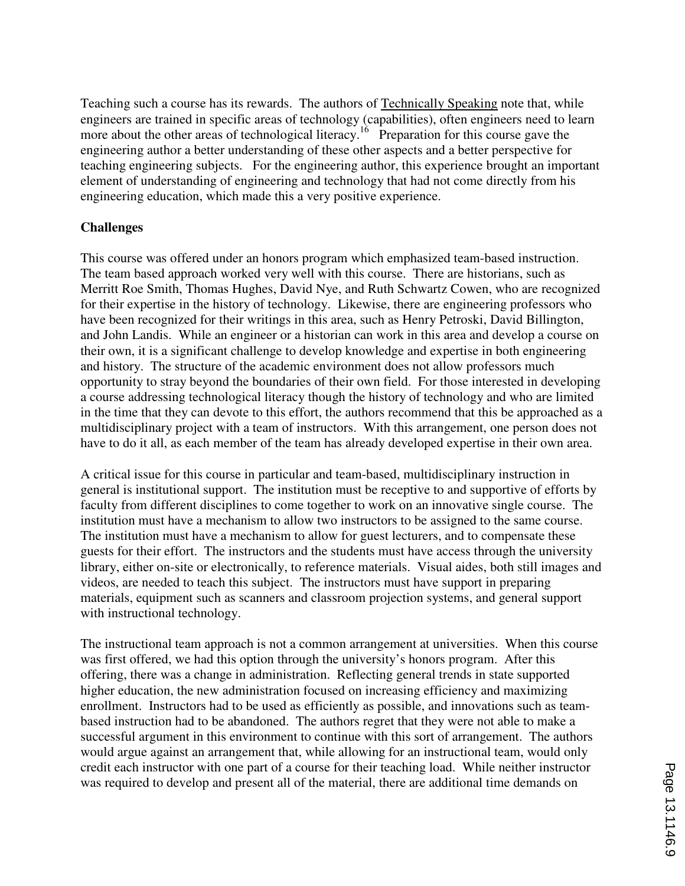Teaching such a course has its rewards. The authors of Technically Speaking note that, while engineers are trained in specific areas of technology (capabilities), often engineers need to learn more about the other areas of technological literacy.<sup>16</sup> Preparation for this course gave the engineering author a better understanding of these other aspects and a better perspective for teaching engineering subjects. For the engineering author, this experience brought an important element of understanding of engineering and technology that had not come directly from his engineering education, which made this a very positive experience.

#### **Challenges**

This course was offered under an honors program which emphasized team-based instruction. The team based approach worked very well with this course. There are historians, such as Merritt Roe Smith, Thomas Hughes, David Nye, and Ruth Schwartz Cowen, who are recognized for their expertise in the history of technology. Likewise, there are engineering professors who have been recognized for their writings in this area, such as Henry Petroski, David Billington, and John Landis. While an engineer or a historian can work in this area and develop a course on their own, it is a significant challenge to develop knowledge and expertise in both engineering and history. The structure of the academic environment does not allow professors much opportunity to stray beyond the boundaries of their own field. For those interested in developing a course addressing technological literacy though the history of technology and who are limited in the time that they can devote to this effort, the authors recommend that this be approached as a multidisciplinary project with a team of instructors. With this arrangement, one person does not have to do it all, as each member of the team has already developed expertise in their own area.

A critical issue for this course in particular and team-based, multidisciplinary instruction in general is institutional support. The institution must be receptive to and supportive of efforts by faculty from different disciplines to come together to work on an innovative single course. The institution must have a mechanism to allow two instructors to be assigned to the same course. The institution must have a mechanism to allow for guest lecturers, and to compensate these guests for their effort. The instructors and the students must have access through the university library, either on-site or electronically, to reference materials. Visual aides, both still images and videos, are needed to teach this subject. The instructors must have support in preparing materials, equipment such as scanners and classroom projection systems, and general support with instructional technology.

The instructional team approach is not a common arrangement at universities. When this course was first offered, we had this option through the university's honors program. After this offering, there was a change in administration. Reflecting general trends in state supported higher education, the new administration focused on increasing efficiency and maximizing enrollment. Instructors had to be used as efficiently as possible, and innovations such as teambased instruction had to be abandoned. The authors regret that they were not able to make a successful argument in this environment to continue with this sort of arrangement. The authors would argue against an arrangement that, while allowing for an instructional team, would only credit each instructor with one part of a course for their teaching load. While neither instructor was required to develop and present all of the material, there are additional time demands on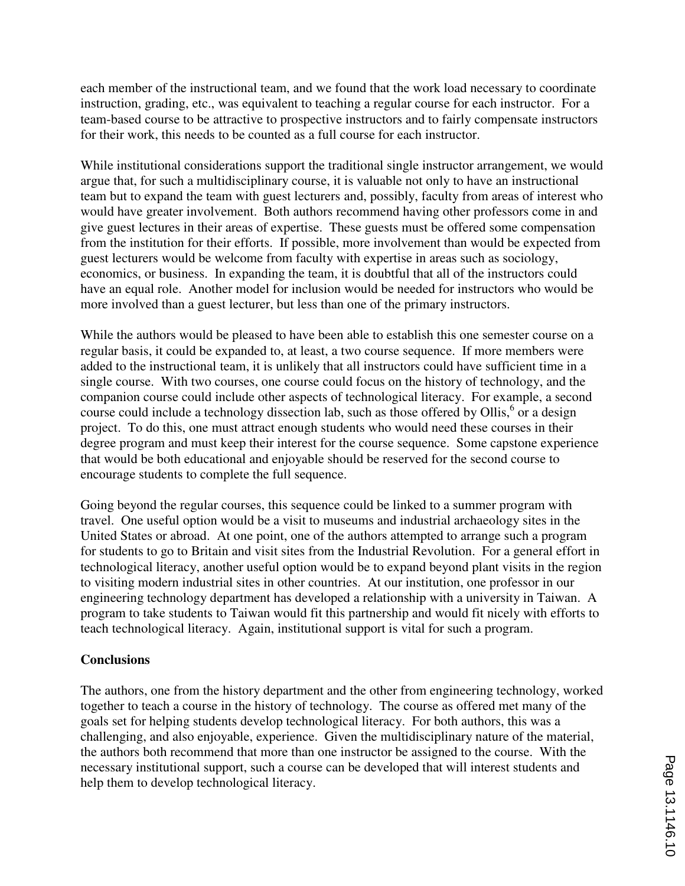each member of the instructional team, and we found that the work load necessary to coordinate instruction, grading, etc., was equivalent to teaching a regular course for each instructor. For a team-based course to be attractive to prospective instructors and to fairly compensate instructors for their work, this needs to be counted as a full course for each instructor.

While institutional considerations support the traditional single instructor arrangement, we would argue that, for such a multidisciplinary course, it is valuable not only to have an instructional team but to expand the team with guest lecturers and, possibly, faculty from areas of interest who would have greater involvement. Both authors recommend having other professors come in and give guest lectures in their areas of expertise. These guests must be offered some compensation from the institution for their efforts. If possible, more involvement than would be expected from guest lecturers would be welcome from faculty with expertise in areas such as sociology, economics, or business. In expanding the team, it is doubtful that all of the instructors could have an equal role. Another model for inclusion would be needed for instructors who would be more involved than a guest lecturer, but less than one of the primary instructors.

While the authors would be pleased to have been able to establish this one semester course on a regular basis, it could be expanded to, at least, a two course sequence. If more members were added to the instructional team, it is unlikely that all instructors could have sufficient time in a single course. With two courses, one course could focus on the history of technology, and the companion course could include other aspects of technological literacy. For example, a second course could include a technology dissection lab, such as those offered by Ollis,<sup>6</sup> or a design project. To do this, one must attract enough students who would need these courses in their degree program and must keep their interest for the course sequence. Some capstone experience that would be both educational and enjoyable should be reserved for the second course to encourage students to complete the full sequence.

Going beyond the regular courses, this sequence could be linked to a summer program with travel. One useful option would be a visit to museums and industrial archaeology sites in the United States or abroad. At one point, one of the authors attempted to arrange such a program for students to go to Britain and visit sites from the Industrial Revolution. For a general effort in technological literacy, another useful option would be to expand beyond plant visits in the region to visiting modern industrial sites in other countries. At our institution, one professor in our engineering technology department has developed a relationship with a university in Taiwan. A program to take students to Taiwan would fit this partnership and would fit nicely with efforts to teach technological literacy. Again, institutional support is vital for such a program.

### **Conclusions**

The authors, one from the history department and the other from engineering technology, worked together to teach a course in the history of technology. The course as offered met many of the goals set for helping students develop technological literacy. For both authors, this was a challenging, and also enjoyable, experience. Given the multidisciplinary nature of the material, the authors both recommend that more than one instructor be assigned to the course. With the necessary institutional support, such a course can be developed that will interest students and help them to develop technological literacy.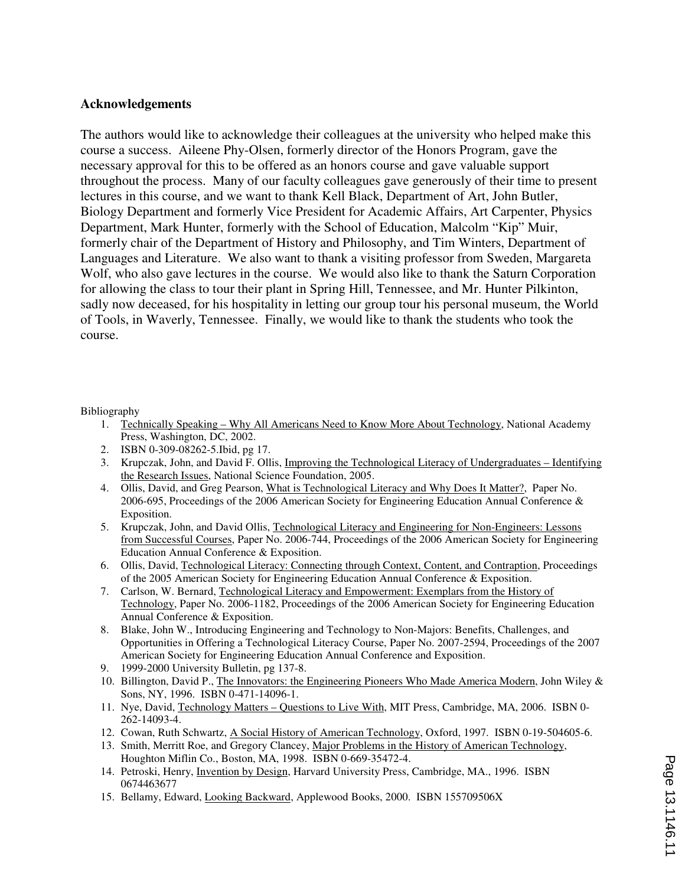### **Acknowledgements**

The authors would like to acknowledge their colleagues at the university who helped make this course a success. Aileene Phy-Olsen, formerly director of the Honors Program, gave the necessary approval for this to be offered as an honors course and gave valuable support throughout the process. Many of our faculty colleagues gave generously of their time to present lectures in this course, and we want to thank Kell Black, Department of Art, John Butler, Biology Department and formerly Vice President for Academic Affairs, Art Carpenter, Physics Department, Mark Hunter, formerly with the School of Education, Malcolm "Kip" Muir, formerly chair of the Department of History and Philosophy, and Tim Winters, Department of Languages and Literature. We also want to thank a visiting professor from Sweden, Margareta Wolf, who also gave lectures in the course. We would also like to thank the Saturn Corporation for allowing the class to tour their plant in Spring Hill, Tennessee, and Mr. Hunter Pilkinton, sadly now deceased, for his hospitality in letting our group tour his personal museum, the World of Tools, in Waverly, Tennessee. Finally, we would like to thank the students who took the course.

#### Bibliography

- 1. Technically Speaking Why All Americans Need to Know More About Technology, National Academy Press, Washington, DC, 2002.
- 2. ISBN 0-309-08262-5.Ibid, pg 17.
- 3. Krupczak, John, and David F. Ollis, Improving the Technological Literacy of Undergraduates Identifying the Research Issues, National Science Foundation, 2005.
- 4. Ollis, David, and Greg Pearson, What is Technological Literacy and Why Does It Matter?, Paper No. 2006-695, Proceedings of the 2006 American Society for Engineering Education Annual Conference & Exposition.
- 5. Krupczak, John, and David Ollis, Technological Literacy and Engineering for Non-Engineers: Lessons from Successful Courses, Paper No. 2006-744, Proceedings of the 2006 American Society for Engineering Education Annual Conference & Exposition.
- 6. Ollis, David, Technological Literacy: Connecting through Context, Content, and Contraption, Proceedings of the 2005 American Society for Engineering Education Annual Conference & Exposition.
- 7. Carlson, W. Bernard, Technological Literacy and Empowerment: Exemplars from the History of Technology, Paper No. 2006-1182, Proceedings of the 2006 American Society for Engineering Education Annual Conference & Exposition.
- 8. Blake, John W., Introducing Engineering and Technology to Non-Majors: Benefits, Challenges, and Opportunities in Offering a Technological Literacy Course, Paper No. 2007-2594, Proceedings of the 2007 American Society for Engineering Education Annual Conference and Exposition.
- 9. 1999-2000 University Bulletin, pg 137-8.
- 10. Billington, David P., The Innovators: the Engineering Pioneers Who Made America Modern, John Wiley & Sons, NY, 1996. ISBN 0-471-14096-1.
- 11. Nye, David, Technology Matters Questions to Live With, MIT Press, Cambridge, MA, 2006. ISBN 0- 262-14093-4.
- 12. Cowan, Ruth Schwartz, A Social History of American Technology, Oxford, 1997. ISBN 0-19-504605-6.
- 13. Smith, Merritt Roe, and Gregory Clancey, Major Problems in the History of American Technology, Houghton Miflin Co., Boston, MA, 1998. ISBN 0-669-35472-4.
- 14. Petroski, Henry, Invention by Design, Harvard University Press, Cambridge, MA., 1996. ISBN 0674463677
- 15. Bellamy, Edward, Looking Backward, Applewood Books, 2000. ISBN 155709506X